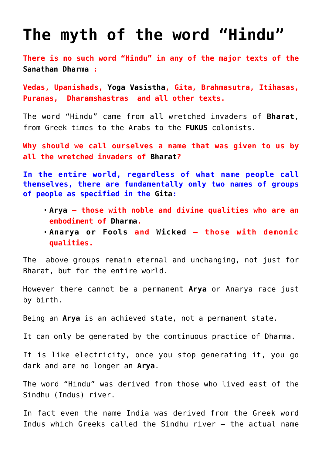## **[The myth of the word "Hindu"](https://aryadharma.world/bharat/hindu/)**

**There is no such word "Hindu" in any of the major texts of the [Sanathan Dharma](http://aryadharma.world/vedasandupanishads/) :**

**[Vedas,](http://en.wikipedia.org/wiki/Vedas) [Upanishads](http://en.wikipedia.org/wiki/Upanishads), [Yoga Vasistha,](http://aryadharma.world/yoga-vasistha/) [Gita](http://en.wikipedia.org/wiki/Bhagavad_Gita), [Brahmasutra](http://en.wikipedia.org/wiki/Brahma_Sutras), [Itihasas,](http://en.wikipedia.org/wiki/Indian_epic_poetry) [Puranas](http://en.wikipedia.org/wiki/Puranas), [Dharamshastras](http://en.wikipedia.org/wiki/Dharma%C5%9B%C4%81stra) and all other texts.**

The word "Hindu" came from all wretched invaders of **[Bharat](http://aryadharma.world/bharat/)**, from Greek times to the Arabs to the **[FUKUS](http://aryadharma.world/fukus/)** colonists.

**Why should we call ourselves a name that was given to us by all the wretched invaders of [Bharat?](http://aryadharma.world/bharat/)**

**In the entire world, regardless of what name people call themselves, there are fundamentally only two names of groups of people as specified in the [Gita:](http://aryadharma.world/vedasandupanishads/)** 

- **[Arya](http://aryadharma.world/whoisanarya/)  those with noble and divine qualities who are an embodiment of [Dharma.](http://aryadharma.world/concepts/brahman/dharma/)**
- **[Anarya or Fools](http://aryadharma.world/whoisafool/) and [Wicked](http://aryadharma.world/wicked/) those with demonic qualities.**

The above groups remain eternal and unchanging, not just for [Bharat](http://aryadharma.world/bharat/), but for the entire world.

However there cannot be a permanent **[Arya](http://aryadharma.world/whoisanarya/)** or [Anarya](http://aryadharma.world/concepts/whoisafool/) race just by birth.

Being an **[Arya](http://aryadharma.world/whoisanarya/)** is an achieved state, not a permanent state.

It can only be generated by the continuous practice of [Dharma](https://aryadharma.world/vedasandupanishads/dharma/).

It is like electricity, once you stop generating it, you go dark and are no longer an **[Arya](http://aryadharma.world/whoisanarya/)**.

The word "Hindu" was derived from those who lived east of the [Sindhu \(Indus\)](http://en.wikipedia.org/wiki/Indus_River) river.

In fact even the name India was derived from the Greek word Indus which Greeks called the Sindhu river – the actual name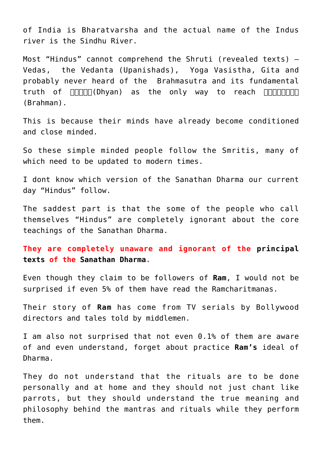of India is [Bharatvarsha](https://aryadharma.world/bharat/) and the actual name of the Indus river is the Sindhu River.

Most "Hindus" cannot comprehend the [Shruti](http://en.wikipedia.org/wiki/%C5%9Aruti) (revealed texts) – [Vedas,](http://en.wikipedia.org/wiki/Veda) the [Vedanta \(Upanishads\)](http://en.wikipedia.org/wiki/Vedanta), [Yoga Vasistha,](http://aryadharma.world/yoga-vasistha/) [Gita](http://en.wikipedia.org/wiki/Gita) and probably never heard of the [Brahmasutra](http://en.wikipedia.org/wiki/Brahmasutra) and its fundamental truth of  $\Box \Box \Box \Box \Box$ (Dhyan) as the only way to reach  $\Box \Box \Box \Box \Box \Box$ [\(Brahman\).](http://aryadharma.world/brahman/)

This is because their minds have already become conditioned and close minded.

So these simple minded people follow the [Smritis,](http://en.wikipedia.org/wiki/Smriti) many of which need to be updated to modern times.

I dont know which version of the [Sanathan Dharma](http://aryadharma.world/vedasandupanishads/) our current day "Hindus" follow.

The saddest part is that the some of the people who call themselves "Hindus" are completely ignorant about the core teachings of the [Sanathan Dharma.](http://aryadharma.world/vedasandupanishads/)

**They are completely unaware and ignorant of the [principal](http://aryadharma.world/vedasandupanishads/) [texts](http://aryadharma.world/vedasandupanishads/) of the [Sanathan Dharma](http://aryadharma.world/vedasandupanishads/).**

Even though they claim to be followers of **[Ram](http://en.wikipedia.org/wiki/Rama)**, I would not be surprised if even 5% of them have read the [Ramcharitmanas.](https://en.wikipedia.org/wiki/Ramcharitmanas)

Their story of **[Ram](http://en.wikipedia.org/wiki/Rama)** has come from TV serials by Bollywood directors and tales told by [middlemen](http://aryadharma.world/bharat/the-middlemen-who-claim-to-represent-brahman/).

I am also not surprised that not even 0.1% of them are aware of and even understand, forget about practice **[Ram's](http://en.wikipedia.org/wiki/Rama)** ideal of [Dharma](http://aryadharma.world/concepts/brahman/dharma/).

They do not understand that the rituals are to be done personally and at home and they should not just chant like parrots, but they should understand the true meaning and philosophy behind the mantras and rituals while they perform them.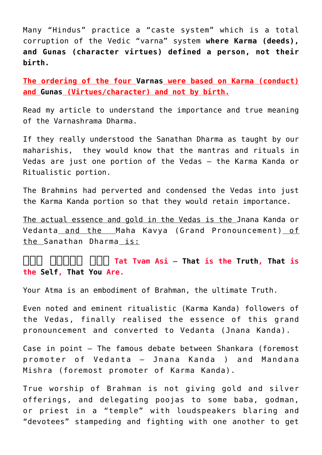Many "Hindus" practice a "caste system" which is a total corruption of the Vedic "[varna](https://en.wikipedia.org/wiki/Varna_(Hinduism))" system **where Karma (deeds), and Gunas (character virtues) defined a person, not their birth.**

**The ordering of the four [Varnas](https://en.wikipedia.org/wiki/Varna_(Hinduism)) were based on Karma (conduct) and [Gunas](http://en.wikipedia.org/wiki/Gu%E1%B9%87a) (Virtues/character) and not by birth.**

Read [my article](https://aryadharma.world/concepts/the-importance-of-the-varnashrama-dharma/) to understand the importance and true meaning of the [Varnashrama Dharma.](https://aryadharma.world/concepts/the-importance-of-the-varnashrama-dharma/)

If they really understood the [Sanathan Dharma](http://aryadharma.world/vedasandupanishads/) as taught by our [maharishis,](https://en.wikipedia.org/wiki/Rishi) they would know that the mantras and rituals in [Vedas](https://en.wikipedia.org/wiki/Vedas) are just one portion of the Vedas – the Karma Kanda or Ritualistic portion.

The Brahmins had perverted and condensed the [Vedas](https://en.wikipedia.org/wiki/Vedas) into just the Karma Kanda portion so that they would retain importance.

The actual essence and gold in the Vedas is the [Jnana Kanda or](http://aryadharma.world/concepts/brahman/vedasandupanishads/) [Vedanta](http://aryadharma.world/concepts/brahman/vedasandupanishads/) and the [Maha Kavya \(Grand Pronouncement\)](https://en.wikipedia.org/wiki/Mah%C4%81v%C4%81kyas) of the [Sanathan Dharma](https://aryadharma.world/concepts/brahman/vedasandupanishads/) is:

**[तत् त्वम् अिस](http://en.wikipedia.org/wiki/Tat_Tvam_Asi) Tat Tvam Asi – [That](https://aryadharma.world/brahman/) is the [Truth,](http://en.wikipedia.org/wiki/Sat_(Sanskrit)) [That](https://aryadharma.world/brahman/) is the [Self,](http://en.wikipedia.org/wiki/%C4%80tman_(Hinduism)) [That](https://aryadharma.world/brahman/) [You](https://en.wikipedia.org/wiki/%C4%80tman_(Hinduism)) Are.**

Your [Atma](https://en.wikipedia.org/wiki/%C4%80tman_(Hinduism)) is an embodiment of [Brahman](https://aryadharma.world/brahman/), the ultimate Truth.

Even noted and eminent ritualistic (Karma Kanda) followers of the Vedas, finally realised the essence of this [grand](https://en.wikipedia.org/wiki/Mah%C4%81v%C4%81kyas) [pronouncement](https://en.wikipedia.org/wiki/Mah%C4%81v%C4%81kyas) and converted to Vedanta (Jnana Kanda).

Case in point — The [famous debate](https://en.wikipedia.org/wiki/Ma%E1%B9%87%E1%B8%8Dana_Mi%C5%9Bra#Debate_with_Adi_Shankara) between [Shankara](https://en.wikipedia.org/wiki/Adi_Shankara) (foremost promoter of [Vedanta](https://en.wikipedia.org/wiki/Vedanta) – Jnana Kanda ) and [Mandana](https://en.wikipedia.org/wiki/Ma%E1%B9%87%E1%B8%8Dana_Mi%C5%9Bra) [Mishra](https://en.wikipedia.org/wiki/Ma%E1%B9%87%E1%B8%8Dana_Mi%C5%9Bra) (foremost promoter of Karma Kanda).

True worship of [Brahman](http://aryadharma.world/brahman/) is not giving gold and silver offerings, and delegating [poojas](https://en.wikipedia.org/wiki/Puja_(Hinduism)) to some baba, godman, or priest in a "temple" with loudspeakers blaring and "devotees" stampeding and fighting with one another to get